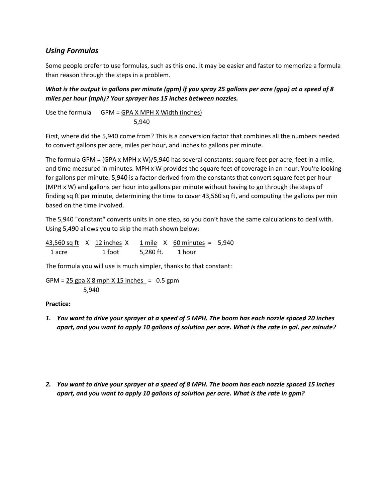## *Using Formulas*

Some people prefer to use formulas, such as this one. It may be easier and faster to memorize a formula than reason through the steps in a problem.

*What is the output in gallons per minute (gpm) if you spray 25 gallons per acre (gpa) at a speed of 8 miles per hour (mph)? Your sprayer has 15 inches between nozzles.* 

Use the formula GPM =  $GPA X MPH X Width (inches)$ 5,940

First, where did the 5,940 come from? This is a conversion factor that combines all the numbers needed to convert gallons per acre, miles per hour, and inches to gallons per minute.

The formula GPM = (GPA x MPH x W)/5,940 has several constants: square feet per acre, feet in a mile, and time measured in minutes. MPH x W provides the square feet of coverage in an hour. You're looking for gallons per minute. 5,940 is a factor derived from the constants that convert square feet per hour (MPH x W) and gallons per hour into gallons per minute without having to go through the steps of finding sq ft per minute, determining the time to cover 43,560 sq ft, and computing the gallons per min based on the time involved.

The 5,940 "constant" converts units in one step, so you don't have the same calculations to deal with. Using 5,490 allows you to skip the math shown below:

|        | 43,560 sq ft X 12 inches X |           | 1 mile $X$ 60 minutes = 5,940 |  |
|--------|----------------------------|-----------|-------------------------------|--|
| 1 acre | 1 foot                     | 5.280 ft. | 1 hour                        |  |

The formula you will use is much simpler, thanks to that constant:

GPM =  $25$  gpa  $X$  8 mph  $X$  15 inches = 0.5 gpm 5,940

## **Practice:**

- *1. You want to drive your sprayer at a speed of 5 MPH. The boom has each nozzle spaced 20 inches apart, and you want to apply 10 gallons of solution per acre. What is the rate in gal. per minute?*
- *2. You want to drive your sprayer at a speed of 8 MPH. The boom has each nozzle spaced 15 inches apart, and you want to apply 10 gallons of solution per acre. What is the rate in gpm?*